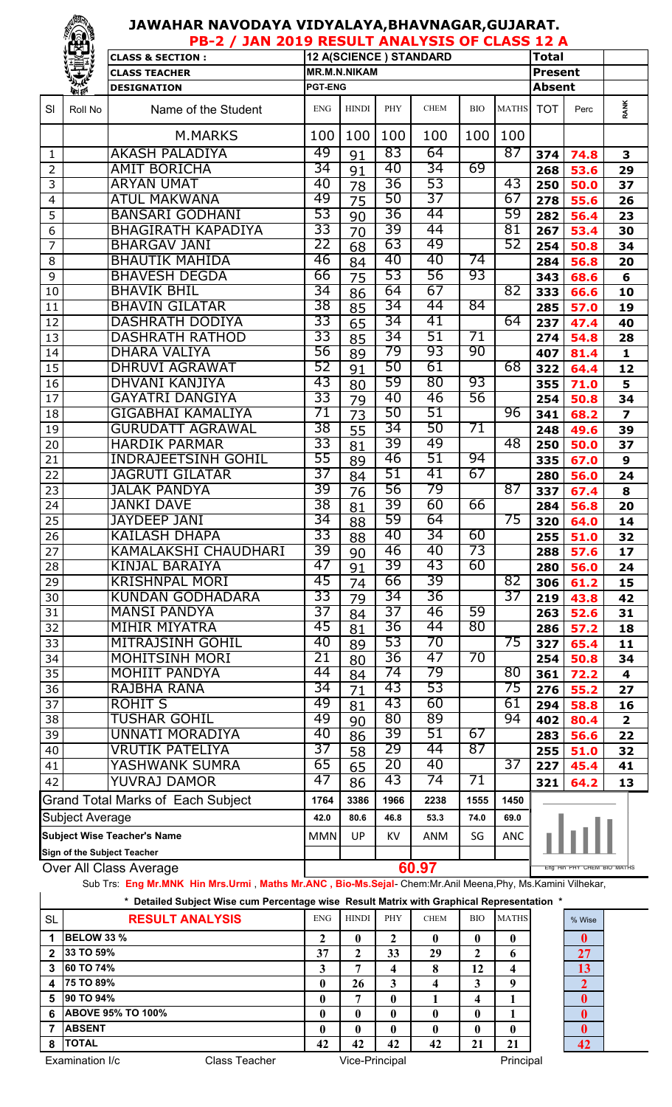## **JAWAHAR NAVODAYA VIDYALAYA,BHAVNAGAR,GUJARAT.**

|                                                                                                          | <b>TEST</b><br>PB-2 / JAN 2019 RESULT ANALYSIS OF CLASS 12 A |                                                 |                |                     |          |                        |                 |                            |                |              |                         |
|----------------------------------------------------------------------------------------------------------|--------------------------------------------------------------|-------------------------------------------------|----------------|---------------------|----------|------------------------|-----------------|----------------------------|----------------|--------------|-------------------------|
|                                                                                                          |                                                              | <b>CLASS &amp; SECTION:</b>                     |                |                     |          | 12 A(SCIENCE) STANDARD |                 |                            | <b>Total</b>   |              |                         |
|                                                                                                          |                                                              | <b>CLASS TEACHER</b>                            |                | <b>MR.M.N.NIKAM</b> |          |                        |                 |                            | <b>Present</b> |              |                         |
|                                                                                                          | <b>OFF TEN</b>                                               | <b>DESIGNATION</b>                              | <b>PGT-ENG</b> |                     |          |                        |                 |                            | <b>Absent</b>  |              |                         |
| SI                                                                                                       | Roll No                                                      | Name of the Student                             | <b>ENG</b>     | <b>HINDI</b>        | PHY      | <b>CHEM</b>            | <b>BIO</b>      | <b>MATHS</b>               | <b>TOT</b>     | Perc         | <b>RANK</b>             |
|                                                                                                          |                                                              | M.MARKS                                         | 100            | 100                 | 100      | 100                    | 100             | 100                        |                |              |                         |
| 1                                                                                                        |                                                              | <b>AKASH PALADIYA</b>                           | 49             | 91                  | 83       | 64                     |                 | 87                         | 374            | 74.8         | 3                       |
| $\overline{2}$                                                                                           |                                                              | <b>AMIT BORICHA</b>                             | 34             | 91                  | 40       | 34                     | 69              |                            | 268            | 53.6         | 29                      |
| 3                                                                                                        |                                                              | <b>ARYAN UMAT</b>                               | 40             | 78                  | 36       | 53                     |                 | 43                         | 250            | 50.0         | 37                      |
| $\overline{\mathcal{A}}$                                                                                 |                                                              | <b>ATUL MAKWANA</b>                             | 49             | 75                  | 50       | 37                     |                 | 67                         | 278            | 55.6         | 26                      |
| 5                                                                                                        |                                                              | <b>BANSARI GODHANI</b>                          | 53             | 90                  | 36       | 44                     |                 | 59                         | 282            | 56.4         | 23                      |
| 6                                                                                                        |                                                              | <b>BHAGIRATH KAPADIYA</b>                       | 33             | 70                  | 39       | 44                     |                 | 81                         | 267            | 53.4         | 30                      |
| $\overline{7}$                                                                                           |                                                              | <b>BHARGAV JANI</b>                             | 22             | 68                  | 63       | 49                     |                 | 52                         | 254            | 50.8         | 34                      |
| 8                                                                                                        |                                                              | <b>BHAUTIK MAHIDA</b>                           | 46             | 84                  | 40       | 40                     | 74              |                            | 284            | 56.8         | 20                      |
| 9                                                                                                        |                                                              | <b>BHAVESH DEGDA</b>                            | 66<br>34       | 75                  | 53       | 56                     | 93              |                            | 343            | 68.6         | 6                       |
| 10                                                                                                       |                                                              | <b>BHAVIK BHIL</b>                              | 38             | 86                  | 64<br>34 | 67<br>44               | $\overline{84}$ | 82                         | 333            | 66.6         | 10                      |
| 11                                                                                                       |                                                              | <b>BHAVIN GILATAR</b><br><b>DASHRATH DODIYA</b> | 33             | 85                  | 34       | 41                     |                 | 64                         | 285            | 57.0         | 19                      |
| 12                                                                                                       |                                                              | <b>DASHRATH RATHOD</b>                          | 33             | 65                  | 34       | 51                     | 71              |                            | 237            | 47.4         | 40                      |
| 13<br>14                                                                                                 |                                                              | <b>DHARA VALIYA</b>                             | 56             | 85                  | 79       | 93                     | 90              |                            | 274<br>407     | 54.8<br>81.4 | 28<br>$\mathbf{1}$      |
| 15                                                                                                       |                                                              | <b>DHRUVI AGRAWAT</b>                           | 52             | 89                  | 50       | 61                     |                 | 68                         | 322            | 64.4         | 12                      |
| 16                                                                                                       |                                                              | <b>DHVANI KANJIYA</b>                           | 43             | 91<br>80            | 59       | 80                     | 93              |                            | 355            | 71.0         | 5                       |
| 17                                                                                                       |                                                              | <b>GAYATRI DANGIYA</b>                          | 33             | 79                  | 40       | 46                     | 56              |                            | 254            | 50.8         | 34                      |
| 18                                                                                                       |                                                              | GIGABHAI KAMALIYA                               | 71             | 73                  | 50       | 51                     |                 | 96                         | 341            | 68.2         | $\overline{\mathbf{z}}$ |
| 19                                                                                                       |                                                              | <b>GURUDATT AGRAWAL</b>                         | 38             | 55                  | 34       | 50                     | 71              |                            | 248            | 49.6         | 39                      |
| 20                                                                                                       |                                                              | <b>HARDIK PARMAR</b>                            | 33             | 81                  | 39       | 49                     |                 | 48                         | 250            | 50.0         | 37                      |
| 21                                                                                                       |                                                              | <b>INDRAJEETSINH GOHIL</b>                      | 55             | 89                  | 46       | 51                     | 94              |                            | 335            | 67.0         | $\boldsymbol{9}$        |
| 22                                                                                                       |                                                              | <b>JAGRUTI GILATAR</b>                          | 37             | 84                  | 51       | 41                     | 67              |                            | 280            | 56.0         | 24                      |
| 23                                                                                                       |                                                              | <b>JALAK PANDYA</b>                             | 39             | 76                  | 56       | 79                     |                 | 87                         | 337            | 67.4         | 8                       |
| 24                                                                                                       |                                                              | <b>JANKI DAVE</b>                               | 38             | 81                  | 39       | 60                     | 66              |                            | 284            | 56.8         | 20                      |
| $\overline{25}$                                                                                          |                                                              | <b>JAYDEEP JANI</b>                             | 34             | 88                  | 59       | 64                     |                 | 75                         | 320            | 64.0         | 14                      |
| 26                                                                                                       |                                                              | <b>KAILASH DHAPA</b>                            | 33             | 88                  | 40       | 34                     | 60              |                            | 255            | 51.0         | 32                      |
| 27                                                                                                       |                                                              | <b>KAMALAKSHI CHAUDHARI</b>                     | 39             | 90                  | 46       | 40                     | 73              |                            | 288            | 57.6         | 17                      |
| 28                                                                                                       |                                                              | <b>KINJAL BARAIYA</b>                           | 47             | 91                  | 39       | 43                     | 60              |                            | 280            | 56.0         | 24                      |
| 29                                                                                                       |                                                              | <b>KRISHNPAL MORI</b>                           | 45             | 74                  | 66       | 39                     |                 | 82                         | 306            | 61.2         | 15                      |
| 30                                                                                                       |                                                              | <b>KUNDAN GODHADARA</b>                         | 33             | 79                  | 34       | 36                     |                 | 37                         | 219            | 43.8         | 42                      |
| 31                                                                                                       |                                                              | <b>MANSI PANDYA</b>                             | 37             | 84                  | 37       | 46                     | 59              |                            | 263            | 52.6         | 31                      |
| 32                                                                                                       |                                                              | <b>MIHIR MIYATRA</b>                            | 45             | 81                  | 36       | 44                     | 80              |                            | 286            | 57.2         | 18                      |
| 33                                                                                                       |                                                              | <b>MITRAJSINH GOHIL</b>                         | 40             | 89                  | 53       | 70                     |                 | 75                         | 327            | 65.4         | 11                      |
| 34                                                                                                       |                                                              | <b>MOHITSINH MORI</b>                           | 21             | 80                  | 36       | 47                     | 70              |                            | 254            | 50.8         | 34                      |
| 35                                                                                                       |                                                              | <b>MOHIIT PANDYA</b>                            | 44             | 84                  | 74       | 79                     |                 | 80                         | 361            | 72.2         | 4                       |
| 36                                                                                                       |                                                              | RAJBHA RANA                                     | 34<br>49       | 71                  | 43<br>43 | 53<br>60               |                 | 75<br>61                   | 276            | 55.2         | 27                      |
| 37                                                                                                       |                                                              | <b>ROHIT S</b>                                  | 49             | 81                  | 80       | 89                     |                 | 94                         | 294            | 58.8         | 16                      |
| 38                                                                                                       |                                                              | <b>TUSHAR GOHIL</b><br>UNNATI MORADIYA          | 40             | 90                  | 39       | 51                     | 67              |                            | 402            | 80.4         | $\overline{\mathbf{2}}$ |
| 39                                                                                                       |                                                              | <b>VRUTIK PATELIYA</b>                          | 37             | 86                  | 29       | 44                     | 87              |                            | 283            | 56.6         | 22                      |
| 40<br>41                                                                                                 |                                                              | YASHWANK SUMRA                                  | 65             | 58                  | 20       | 40                     |                 | 37                         | 255            | 51.0         | 32                      |
| 42                                                                                                       |                                                              | YUVRAJ DAMOR                                    | 47             | 65<br>86            | 43       | 74                     | 71              |                            | 227<br>321     | 45.4<br>64.2 | 41<br>13                |
| <b>Grand Total Marks of Each Subject</b>                                                                 |                                                              | 1764                                            | 3386           | 1966                | 2238     | 1555                   | 1450            |                            |                |              |                         |
| <b>Subject Average</b>                                                                                   |                                                              | 42.0                                            | 80.6           | 46.8                | 53.3     | 74.0                   | 69.0            |                            |                |              |                         |
| <b>Subject Wise Teacher's Name</b>                                                                       |                                                              |                                                 | <b>MMN</b>     | UP                  | KV.      | ANM                    | SG              | <b>ANC</b>                 |                |              |                         |
| Sign of the Subject Teacher                                                                              |                                                              |                                                 |                |                     |          |                        |                 |                            |                |              |                         |
|                                                                                                          |                                                              | Over All Class Average                          | 60.97          |                     |          |                        |                 | Eng Hin PHY CHEM BIO MATHS |                |              |                         |
| Sub Trs: Eng Mr.MNK Hin Mrs.Urmi, Maths Mr.ANC, Bio-Ms.Seial-Chem:Mr.Anil Meena.Phy. Ms.Kamini Vilhekar. |                                                              |                                                 |                |                     |          |                        |                 |                            |                |              |                         |

Sub Trs: **Eng Mr.MNK Hin Mrs.Urmi** , **Maths Mr.ANC , Bio-Ms.Sejal**- Chem:Mr.Anil Meena,Phy, Ms.Kamini Vilhekar,

|                                  |                          | * Detailed Subject Wise cum Percentage wise Result Matrix with Graphical Representation * |                |              |     |             |              |              |              |
|----------------------------------|--------------------------|-------------------------------------------------------------------------------------------|----------------|--------------|-----|-------------|--------------|--------------|--------------|
| <b>SL</b>                        | <b>RESULT ANALYSIS</b>   |                                                                                           | <b>ENG</b>     | <b>HINDI</b> | PHY | <b>CHEM</b> | <b>BIO</b>   | <b>MATHS</b> | % Wise       |
|                                  | <b>BELOW 33 %</b>        |                                                                                           |                |              |     |             |              |              |              |
| $\mathbf{2}$                     | 33 TO 59%                |                                                                                           | 37             | 2            | 33  | 29          |              | 6            | 27           |
| 3                                | <b>60 TO 74%</b>         |                                                                                           | 3              |              | 4   | 8           | 12           | 4            | 13           |
| $\overline{4}$                   | 75 TO 89%                |                                                                                           | 0              | 26           | 3   |             | 3            | 9            |              |
| 5                                | 90 TO 94%                |                                                                                           | 0              | 7            | 0   |             | 4            |              | $\mathbf{0}$ |
| 6                                | <b>ABOVE 95% TO 100%</b> |                                                                                           | 0              |              | 0   | 0           | 0            |              | $\mathbf{0}$ |
|                                  | <b>ABSENT</b>            |                                                                                           | 0              |              | 0   | 0           | $\mathbf{0}$ | 0            | $\mathbf{0}$ |
| 8                                | <b>ITOTAL</b>            |                                                                                           | 42             | 42           | 42  | 42          | 21           | 21           | 42           |
| Examination I/c<br>Class Teacher |                          |                                                                                           | Vice-Principal |              |     |             | Principal    |              |              |